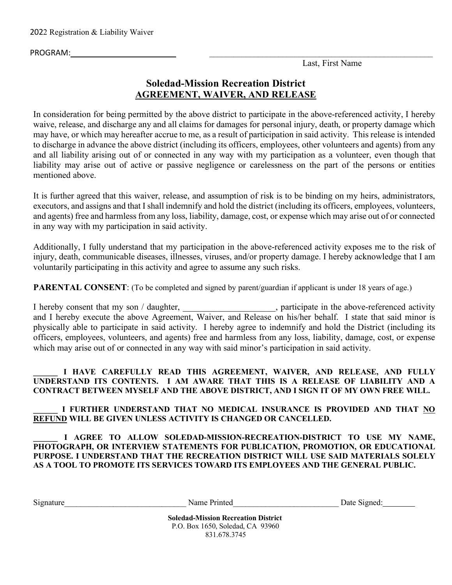PROGRAM: \_\_\_\_\_\_\_\_\_\_\_\_\_\_\_\_\_\_\_\_\_\_\_\_\_\_\_\_\_\_\_\_\_\_\_\_\_\_\_\_\_\_\_\_\_\_\_\_\_\_\_\_\_\_\_

Last, First Name

# **Soledad-Mission Recreation District AGREEMENT, WAIVER, AND RELEASE**

In consideration for being permitted by the above district to participate in the above-referenced activity, I hereby waive, release, and discharge any and all claims for damages for personal injury, death, or property damage which may have, or which may hereafter accrue to me, as a result of participation in said activity. This release is intended to discharge in advance the above district (including its officers, employees, other volunteers and agents) from any and all liability arising out of or connected in any way with my participation as a volunteer, even though that liability may arise out of active or passive negligence or carelessness on the part of the persons or entities mentioned above.

It is further agreed that this waiver, release, and assumption of risk is to be binding on my heirs, administrators, executors, and assigns and that I shall indemnify and hold the district (including its officers, employees, volunteers, and agents) free and harmless from any loss, liability, damage, cost, or expense which may arise out of or connected in any way with my participation in said activity.

Additionally, I fully understand that my participation in the above-referenced activity exposes me to the risk of injury, death, communicable diseases, illnesses, viruses, and/or property damage. I hereby acknowledge that I am voluntarily participating in this activity and agree to assume any such risks.

**PARENTAL CONSENT**: (To be completed and signed by parent/guardian if applicant is under 18 years of age.)

I hereby consent that my son / daughter, \_\_\_\_\_\_\_\_\_\_\_\_\_\_\_\_\_\_\_\_, participate in the above-referenced activity and I hereby execute the above Agreement, Waiver, and Release on his/her behalf. I state that said minor is physically able to participate in said activity. I hereby agree to indemnify and hold the District (including its officers, employees, volunteers, and agents) free and harmless from any loss, liability, damage, cost, or expense which may arise out of or connected in any way with said minor's participation in said activity.

#### **\_\_\_\_\_\_ I HAVE CAREFULLY READ THIS AGREEMENT, WAIVER, AND RELEASE, AND FULLY UNDERSTAND ITS CONTENTS. I AM AWARE THAT THIS IS A RELEASE OF LIABILITY AND A CONTRACT BETWEEN MYSELF AND THE ABOVE DISTRICT, AND I SIGN IT OF MY OWN FREE WILL.**

### **\_\_\_\_\_\_ I FURTHER UNDERSTAND THAT NO MEDICAL INSURANCE IS PROVIDED AND THAT NO REFUND WILL BE GIVEN UNLESS ACTIVITY IS CHANGED OR CANCELLED.**

#### **\_\_\_\_\_\_ I AGREE TO ALLOW SOLEDAD-MISSION-RECREATION-DISTRICT TO USE MY NAME, PHOTOGRAPH, OR INTERVIEW STATEMENTS FOR PUBLICATION, PROMOTION, OR EDUCATIONAL PURPOSE. I UNDERSTAND THAT THE RECREATION DISTRICT WILL USE SAID MATERIALS SOLELY AS A TOOL TO PROMOTE ITS SERVICES TOWARD ITS EMPLOYEES AND THE GENERAL PUBLIC.**

Signature The Communication of the Name Printed Theorem and Date Signed:

**Soledad-Mission Recreation District** P.O. Box 1650, Soledad, CA 93960 831.678.3745